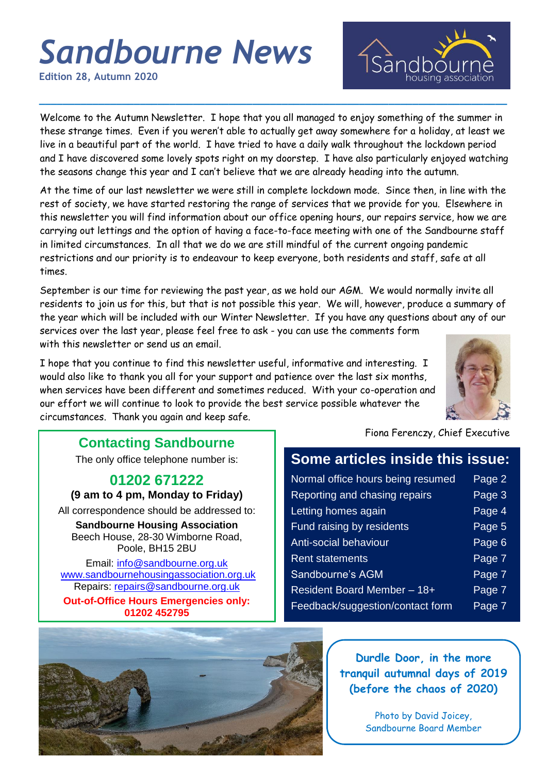# *Sandbourne News*

**Edition 28, Autumn 2020**

Welcome to the Autumn Newsletter. I hope that you all managed to enjoy something of the summer in these strange times. Even if you weren't able to actually get away somewhere for a holiday, at least we live in a beautiful part of the world. I have tried to have a daily walk throughout the lockdown period and I have discovered some lovely spots right on my doorstep. I have also particularly enjoyed watching the seasons change this year and I can't believe that we are already heading into the autumn.

**\_\_\_\_\_\_\_\_\_\_\_\_\_\_\_\_\_\_\_\_\_\_\_\_\_\_\_\_\_\_\_\_\_\_\_\_\_\_\_\_\_\_\_\_\_\_\_\_\_\_\_\_\_\_\_\_\_\_\_\_\_\_\_\_\_\_\_\_\_\_\_\_\_\_\_\_\_\_\_**

At the time of our last newsletter we were still in complete lockdown mode. Since then, in line with the rest of society, we have started restoring the range of services that we provide for you. Elsewhere in this newsletter you will find information about our office opening hours, our repairs service, how we are carrying out lettings and the option of having a face-to-face meeting with one of the Sandbourne staff in limited circumstances. In all that we do we are still mindful of the current ongoing pandemic restrictions and our priority is to endeavour to keep everyone, both residents and staff, safe at all times.

September is our time for reviewing the past year, as we hold our AGM. We would normally invite all residents to join us for this, but that is not possible this year. We will, however, produce a summary of the year which will be included with our Winter Newsletter. If you have any questions about any of our services over the last year, please feel free to ask - you can use the comments form with this newsletter or send us an email.

I hope that you continue to find this newsletter useful, informative and interesting. I would also like to thank you all for your support and patience over the last six months, when services have been different and sometimes reduced. With your co-operation and our effort we will continue to look to provide the best service possible whatever the circumstances. Thank you again and keep safe.



### **Contacting Sandbourne**

The only office telephone number is:

### **01202 671222**

**(9 am to 4 pm, Monday to Friday)**

All correspondence should be addressed to:

**Sandbourne Housing Association** Beech House, 28-30 Wimborne Road, Poole, BH15 2BU

Email: [info@sandbourne.org.uk](mailto:info@sandbourne.org.uk) [www.sandbournehousingassociation.org.uk](http://www.sandbournehousingassociation.org.uk/) Repairs: [repairs@sandbourne.org.uk](mailto:repairs@sandbourne.org.uk) **Out-of-Office Hours Emergencies only: 01202 452795**

Fiona Ferenczy, Chief Executive

### **Some articles inside this issue:**

Isandbo

| Normal office hours being resumed | Page 2 |
|-----------------------------------|--------|
| Reporting and chasing repairs     | Page 3 |
| Letting homes again               | Page 4 |
| Fund raising by residents         | Page 5 |
| Anti-social behaviour             | Page 6 |
| <b>Rent statements</b>            | Page 7 |
| <b>Sandbourne's AGM</b>           | Page 7 |
| Resident Board Member - 18+       | Page 7 |
| Feedback/suggestion/contact form  | Page 7 |



**Durdle Door, in the more tranquil autumnal days of 2019 (before the chaos of 2020)**

> Photo by David Joicey, Sandbourne Board Member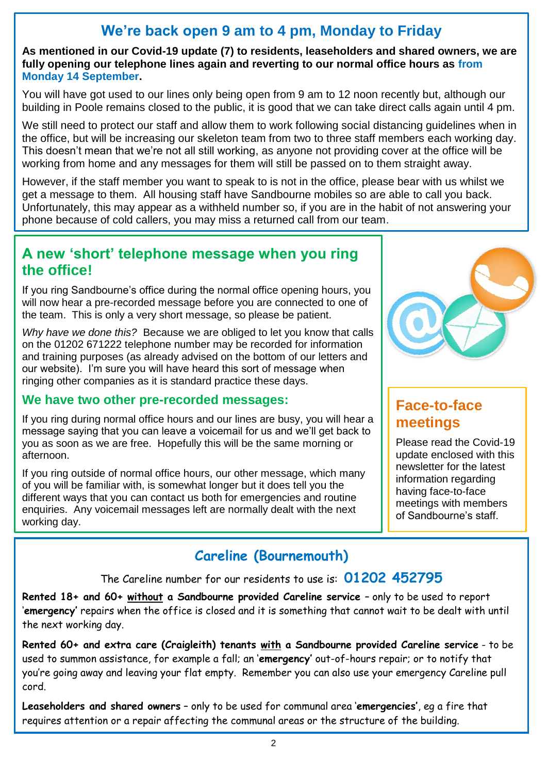# **We're back open 9 am to 4 pm, Monday to Friday**

**As mentioned in our Covid-19 update (7) to residents, leaseholders and shared owners, we are fully opening our telephone lines again and reverting to our normal office hours as from Monday 14 September.**

You will have got used to our lines only being open from 9 am to 12 noon recently but, although our building in Poole remains closed to the public, it is good that we can take direct calls again until 4 pm.

We still need to protect our staff and allow them to work following social distancing guidelines when in the office, but will be increasing our skeleton team from two to three staff members each working day. This doesn't mean that we're not all still working, as anyone not providing cover at the office will be working from home and any messages for them will still be passed on to them straight away.

However, if the staff member you want to speak to is not in the office, please bear with us whilst we get a message to them. All housing staff have Sandbourne mobiles so are able to call you back. Unfortunately, this may appear as a withheld number so, if you are in the habit of not answering your phone because of cold callers, you may miss a returned call from our team.

### **A new 'short' telephone message when you ring the office!**

If you ring Sandbourne's office during the normal office opening hours, you will now hear a pre-recorded message before you are connected to one of the team. This is only a very short message, so please be patient.

*Why have we done this?* Because we are obliged to let you know that calls on the 01202 671222 telephone number may be recorded for information and training purposes (as already advised on the bottom of our letters and our website). I'm sure you will have heard this sort of message when ringing other companies as it is standard practice these days.

### **We have two other pre-recorded messages:**

If you ring during normal office hours and our lines are busy, you will hear a message saying that you can leave a voicemail for us and we'll get back to you as soon as we are free. Hopefully this will be the same morning or afternoon.

If you ring outside of normal office hours, our other message, which many of you will be familiar with, is somewhat longer but it does tell you the different ways that you can contact us both for emergencies and routine enquiries. Any voicemail messages left are normally dealt with the next working day.



## **Face-to-face meetings**

Please read the Covid-19 update enclosed with this newsletter for the latest information regarding having face-to-face meetings with members of Sandbourne's staff.

# **Careline (Bournemouth)**

The Careline number for our residents to use is: **01202 452795**

**Rented 18+ and 60+ without a Sandbourne provided Careline service** – only to be used to report '**emergency'** repairs when the office is closed and it is something that cannot wait to be dealt with until the next working day.

**Rented 60+ and extra care (Craigleith) tenants with a Sandbourne provided Careline service** - to be used to summon assistance, for example a fall; an '**emergency'** out-of-hours repair; or to notify that you're going away and leaving your flat empty. Remember you can also use your emergency Careline pull cord.

**Leaseholders and shared owners** – only to be used for communal area '**emergencies'**, eg a fire that requires attention or a repair affecting the communal areas or the structure of the building.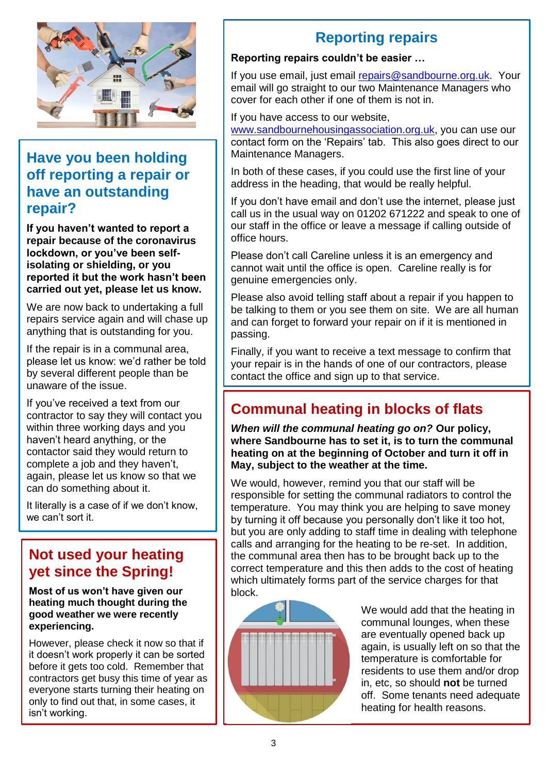

### **Have you been holding off reporting a repair or have an outstanding repair?**

**If you haven't wanted to report a repair because of the coronavirus lockdown, or you've been selfisolating or shielding, or you reported it but the work hasn't been carried out yet, please let us know.**

We are now back to undertaking a full repairs service again and will chase up anything that is outstanding for you.

If the repair is in a communal area, please let us know: we'd rather be told by several different people than be unaware of the issue.

If you've received a text from our contractor to say they will contact you within three working days and you haven't heard anything, or the contactor said they would return to complete a job and they haven't, again, please let us know so that we can do something about it.

It literally is a case of if we don't know, we can't sort it.

## **Not used your heating yet since the Spring!**

**Most of us won't have given our heating much thought during the good weather we were recently experiencing.**

However, please check it now so that if it doesn't work properly it can be sorted before it gets too cold. Remember that contractors get busy this time of year as everyone starts turning their heating on only to find out that, in some cases, it isn't working.

# **Reporting repairs**

#### **Reporting repairs couldn't be easier …**

If you use email, just email [repairs@sandbourne.org.uk.](mailto:repairs@sandbourne.org.uk) Your email will go straight to our two Maintenance Managers who cover for each other if one of them is not in.

If you have access to our website,

[www.sandbournehousingassociation.org.uk,](http://www.sandbournehousingassociation.org.uk/) you can use our contact form on the 'Repairs' tab. This also goes direct to our Maintenance Managers.

In both of these cases, if you could use the first line of your address in the heading, that would be really helpful.

If you don't have email and don't use the internet, please just call us in the usual way on 01202 671222 and speak to one of our staff in the office or leave a message if calling outside of office hours.

Please don't call Careline unless it is an emergency and cannot wait until the office is open. Careline really is for genuine emergencies only.

Please also avoid telling staff about a repair if you happen to be talking to them or you see them on site. We are all human and can forget to forward your repair on if it is mentioned in passing.

Finally, if you want to receive a text message to confirm that your repair is in the hands of one of our contractors, please contact the office and sign up to that service.

# **Communal heating in blocks of flats**

*When will the communal heating go on?* **Our policy, where Sandbourne has to set it, is to turn the communal heating on at the beginning of October and turn it off in May, subject to the weather at the time.**

We would, however, remind you that our staff will be responsible for setting the communal radiators to control the temperature. You may think you are helping to save money by turning it off because you personally don't like it too hot, but you are only adding to staff time in dealing with telephone calls and arranging for the heating to be re-set. In addition, the communal area then has to be brought back up to the correct temperature and this then adds to the cost of heating which ultimately forms part of the service charges for that block.



We would add that the heating in communal lounges, when these are eventually opened back up again, is usually left on so that the temperature is comfortable for residents to use them and/or drop in, etc, so should **not** be turned off. Some tenants need adequate heating for health reasons.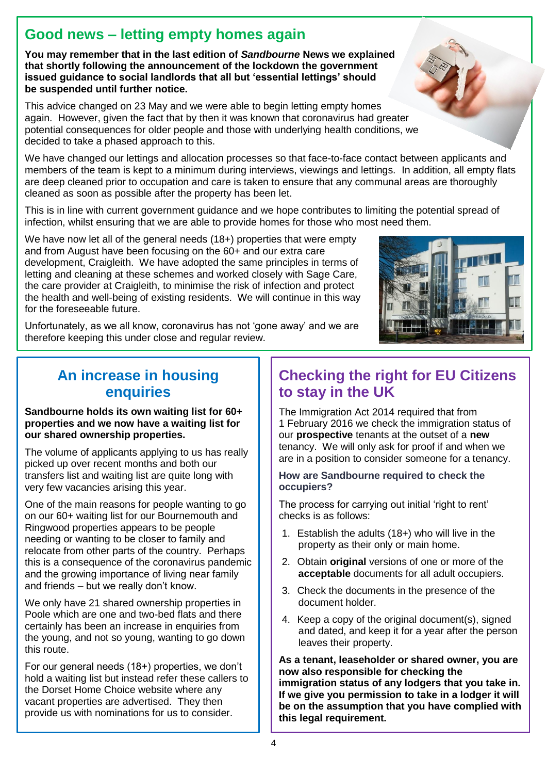# **Good news – letting empty homes again**

**You may remember that in the last edition of** *Sandbourne* **News we explained that shortly following the announcement of the lockdown the government issued guidance to social landlords that all but 'essential lettings' should be suspended until further notice.**

This advice changed on 23 May and we were able to begin letting empty homes again. However, given the fact that by then it was known that coronavirus had greater potential consequences for older people and those with underlying health conditions, we decided to take a phased approach to this.

We have changed our lettings and allocation processes so that face-to-face contact between applicants and members of the team is kept to a minimum during interviews, viewings and lettings. In addition, all empty flats are deep cleaned prior to occupation and care is taken to ensure that any communal areas are thoroughly cleaned as soon as possible after the property has been let.

This is in line with current government guidance and we hope contributes to limiting the potential spread of infection, whilst ensuring that we are able to provide homes for those who most need them.

We have now let all of the general needs (18+) properties that were empty and from August have been focusing on the 60+ and our extra care development, Craigleith. We have adopted the same principles in terms of letting and cleaning at these schemes and worked closely with Sage Care, the care provider at Craigleith, to minimise the risk of infection and protect the health and well-being of existing residents. We will continue in this way for the foreseeable future.



Unfortunately, as we all know, coronavirus has not 'gone away' and we are therefore keeping this under close and regular review.

# **An increase in housing enquiries**

#### **Sandbourne holds its own waiting list for 60+ properties and we now have a waiting list for our shared ownership properties.**

The volume of applicants applying to us has really picked up over recent months and both our transfers list and waiting list are quite long with very few vacancies arising this year.

One of the main reasons for people wanting to go on our 60+ waiting list for our Bournemouth and Ringwood properties appears to be people needing or wanting to be closer to family and relocate from other parts of the country. Perhaps this is a consequence of the coronavirus pandemic and the growing importance of living near family and friends – but we really don't know.

We only have 21 shared ownership properties in Poole which are one and two-bed flats and there certainly has been an increase in enquiries from the young, and not so young, wanting to go down this route.

For our general needs (18+) properties, we don't hold a waiting list but instead refer these callers to the Dorset Home Choice website where any vacant properties are advertised. They then provide us with nominations for us to consider.

# **Checking the right for EU Citizens to stay in the UK**

The Immigration Act 2014 required that from 1 February 2016 we check the immigration status of our **prospective** tenants at the outset of a **new** tenancy. We will only ask for proof if and when we are in a position to consider someone for a tenancy.

#### **How are Sandbourne required to check the occupiers?**

The process for carrying out initial 'right to rent' checks is as follows:

- 1. Establish the adults (18+) who will live in the property as their only or main home.
- 2. Obtain **original** versions of one or more of the **acceptable** documents for all adult occupiers.
- 3. Check the documents in the presence of the document holder.
- 4. Keep a copy of the original document(s), signed and dated, and keep it for a year after the person leaves their property.

**As a tenant, leaseholder or shared owner, you are now also responsible for checking the immigration status of any lodgers that you take in. If we give you permission to take in a lodger it will be on the assumption that you have complied with this legal requirement.**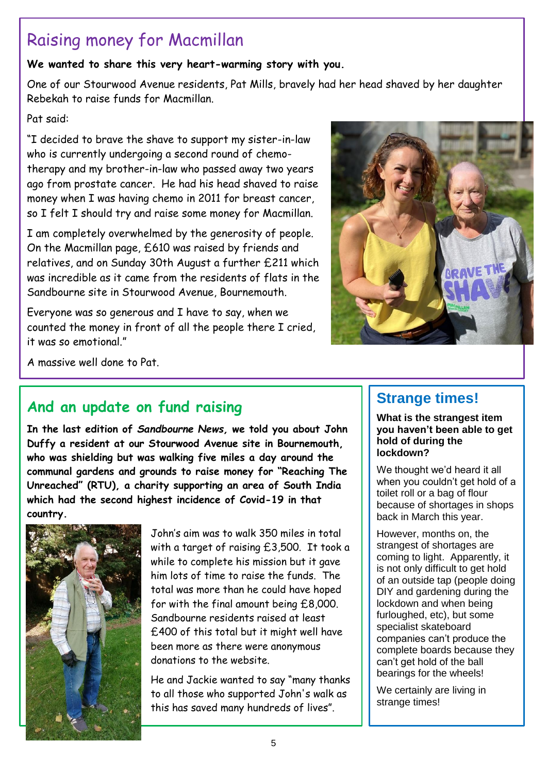# Raising money for Macmillan

**We wanted to share this very heart-warming story with you.**

One of our Stourwood Avenue residents, Pat Mills, bravely had her head shaved by her daughter Rebekah to raise funds for Macmillan.

Pat said:

"I decided to brave the shave to support my sister-in-law who is currently undergoing a second round of chemotherapy and my brother-in-law who passed away two years ago from prostate cancer. He had his head shaved to raise money when I was having chemo in 2011 for breast cancer, so I felt I should try and raise some money for Macmillan.

I am completely overwhelmed by the generosity of people. On the Macmillan page, £610 was raised by friends and relatives, and on Sunday 30th August a further £211 which was incredible as it came from the residents of flats in the Sandbourne site in Stourwood Avenue, Bournemouth.

Everyone was so generous and I have to say, when we counted the money in front of all the people there I cried, it was so emotional."



A massive well done to Pat.

# **And an update on fund raising**

**In the last edition of** *Sandbourne News,* **we told you about John Duffy a resident at our Stourwood Avenue site in Bournemouth, who was shielding but was walking five miles a day around the communal gardens and grounds to raise money for "Reaching The Unreached" (RTU), a charity supporting an area of South India which had the second highest incidence of Covid-19 in that country.**



John's aim was to walk 350 miles in total with a target of raising £3,500. It took a while to complete his mission but it gave him lots of time to raise the funds. The total was more than he could have hoped for with the final amount being £8,000. Sandbourne residents raised at least £400 of this total but it might well have been more as there were anonymous donations to the website.

He and Jackie wanted to say "many thanks to all those who supported John's walk as this has saved many hundreds of lives".

## **Strange times!**

**What is the strangest item you haven't been able to get hold of during the lockdown?**

We thought we'd heard it all when you couldn't get hold of a toilet roll or a bag of flour because of shortages in shops back in March this year.

However, months on, the strangest of shortages are coming to light. Apparently, it is not only difficult to get hold of an outside tap (people doing DIY and gardening during the lockdown and when being furloughed, etc), but some specialist skateboard companies can't produce the complete boards because they can't get hold of the ball bearings for the wheels!

We certainly are living in strange times!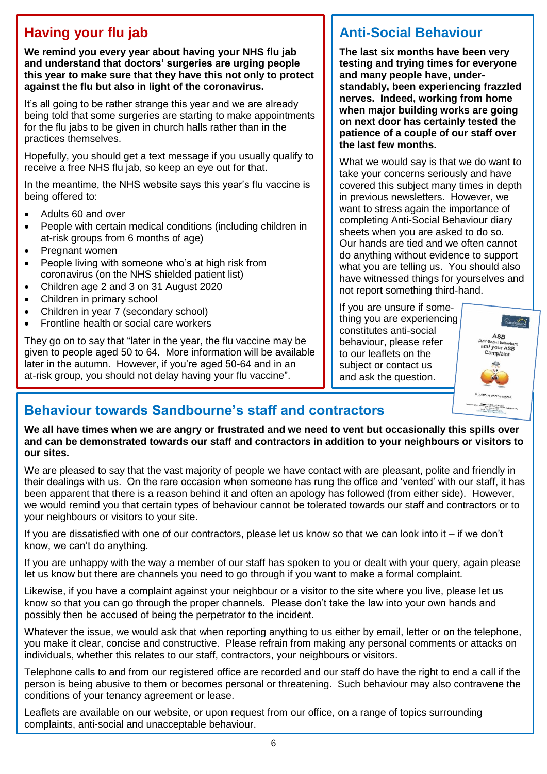## **Having your flu jab**

 **We remind you every year about having your NHS flu jab and understand that doctors' surgeries are urging people this year to make sure that they have this not only to protect against the flu but also in light of the coronavirus.**

It's all going to be rather strange this year and we are already being told that some surgeries are starting to make appointments for the flu jabs to be given in church halls rather than in the practices themselves.

Hopefully, you should get a text message if you usually qualify to receive a free NHS flu jab, so keep an eye out for that.

In the meantime, the NHS website says this year's flu vaccine is being offered to:

- Adults 60 and over
- People with certain medical conditions (including children in at-risk groups from 6 months of age)
- Pregnant women
- People living with someone who's at high risk from coronavirus (on the NHS shielded patient list)
- Children age 2 and 3 on 31 August 2020
- Children in primary school
- Children in year 7 (secondary school)
- Frontline health or social care workers

They go on to say that "later in the year, the flu vaccine may be given to people aged 50 to 64. More information will be available later in the autumn. However, if you're aged 50-64 and in an at-risk group, you should not delay having your flu vaccine".

### **Anti-Social Behaviour**

**The last six months have been very testing and trying times for everyone and many people have, understandably, been experiencing frazzled nerves. Indeed, working from home when major building works are going on next door has certainly tested the patience of a couple of our staff over the last few months.**

What we would say is that we do want to take your concerns seriously and have covered this subject many times in depth in previous newsletters. However, we want to stress again the importance of completing Anti-Social Behaviour diary sheets when you are asked to do so. Our hands are tied and we often cannot do anything without evidence to support what you are telling us. You should also have witnessed things for yourselves and not report something third-hand.

If you are unsure if something you are experiencing constitutes anti-social behaviour, please refer to our leaflets on the subject or contact us and ask the question.



# **Behaviour towards Sandbourne's staff and contractors**

**We all have times when we are angry or frustrated and we need to vent but occasionally this spills over and can be demonstrated towards our staff and contractors in addition to your neighbours or visitors to our sites.**

We are pleased to say that the vast majority of people we have contact with are pleasant, polite and friendly in their dealings with us. On the rare occasion when someone has rung the office and 'vented' with our staff, it has been apparent that there is a reason behind it and often an apology has followed (from either side). However, we would remind you that certain types of behaviour cannot be tolerated towards our staff and contractors or to your neighbours or visitors to your site.

If you are dissatisfied with one of our contractors, please let us know so that we can look into it – if we don't know, we can't do anything.

If you are unhappy with the way a member of our staff has spoken to you or dealt with your query, again please let us know but there are channels you need to go through if you want to make a formal complaint.

Likewise, if you have a complaint against your neighbour or a visitor to the site where you live, please let us know so that you can go through the proper channels. Please don't take the law into your own hands and possibly then be accused of being the perpetrator to the incident.

Whatever the issue, we would ask that when reporting anything to us either by email, letter or on the telephone, you make it clear, concise and constructive. Please refrain from making any personal comments or attacks on individuals, whether this relates to our staff, contractors, your neighbours or visitors.

Telephone calls to and from our registered office are recorded and our staff do have the right to end a call if the person is being abusive to them or becomes personal or threatening. Such behaviour may also contravene the conditions of your tenancy agreement or lease.

Leaflets are available on our website, or upon request from our office, on a range of topics surrounding complaints, anti-social and unacceptable behaviour.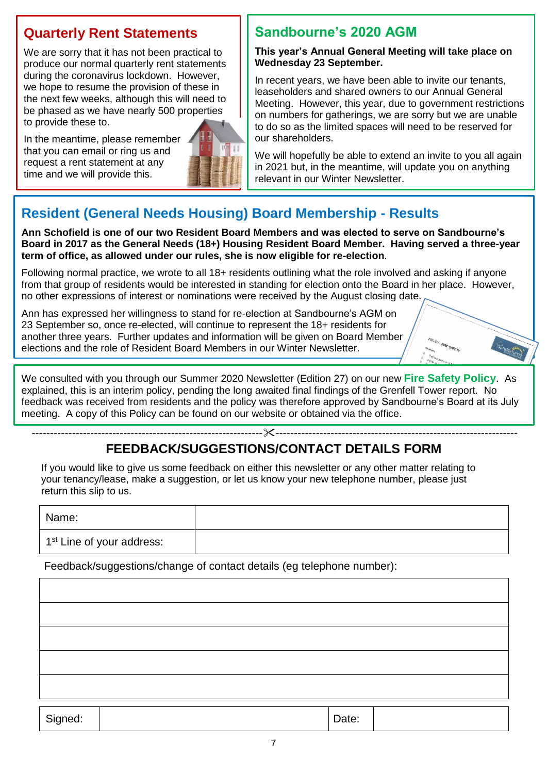### **Quarterly Rent Statements**

We are sorry that it has not been practical to produce our normal quarterly rent statements during the coronavirus lockdown. However, we hope to resume the provision of these in the next few weeks, although this will need to be phased as we have nearly 500 properties to provide these to.

In the meantime, please remember that you can email or ring us and request a rent statement at any time and we will provide this.



### **Sandbourne's 2020 AGM**

#### **This year's Annual General Meeting will take place on Wednesday 23 September.**

In recent years, we have been able to invite our tenants, leaseholders and shared owners to our Annual General Meeting. However, this year, due to government restrictions on numbers for gatherings, we are sorry but we are unable to do so as the limited spaces will need to be reserved for our shareholders.

We will hopefully be able to extend an invite to you all again in 2021 but, in the meantime, will update you on anything relevant in our Winter Newsletter.

# **Resident (General Needs Housing) Board Membership - Results**

**Ann Schofield is one of our two Resident Board Members and was elected to serve on Sandbourne's Board in 2017 as the General Needs (18+) Housing Resident Board Member. Having served a three-year term of office, as allowed under our rules, she is now eligible for re-election**.

Following normal practice, we wrote to all 18+ residents outlining what the role involved and asking if anyone from that group of residents would be interested in standing for election onto the Board in her place. However, no other expressions of interest or nominations were received by the August closing date.

Ann has expressed her willingness to stand for re-election at Sandbourne's AGM on 23 September so, once re-elected, will continue to represent the 18+ residents for another three years. Further updates and information will be given on Board Member elections and the role of Resident Board Members in our Winter Newsletter.

We consulted with you through our Summer 2020 Newsletter (Edition 27) on our new **Fire Safety Policy**. As explained, this is an interim policy, pending the long awaited final findings of the Grenfell Tower report. No feedback was received from residents and the policy was therefore approved by Sandbourne's Board at its July meeting. A copy of this Policy can be found on our website or obtained via the office.

## **FEEDBACK/SUGGESTIONS/CONTACT DETAILS FORM**

---------------------------------------------------------------------------------------------------------------------------------

If you would like to give us some feedback on either this newsletter or any other matter relating to your tenancy/lease, make a suggestion, or let us know your new telephone number, please just return this slip to us.

Name:

1<sup>st</sup> Line of your address:

Feedback/suggestions/change of contact details (eg telephone number):

Signed: | Date: